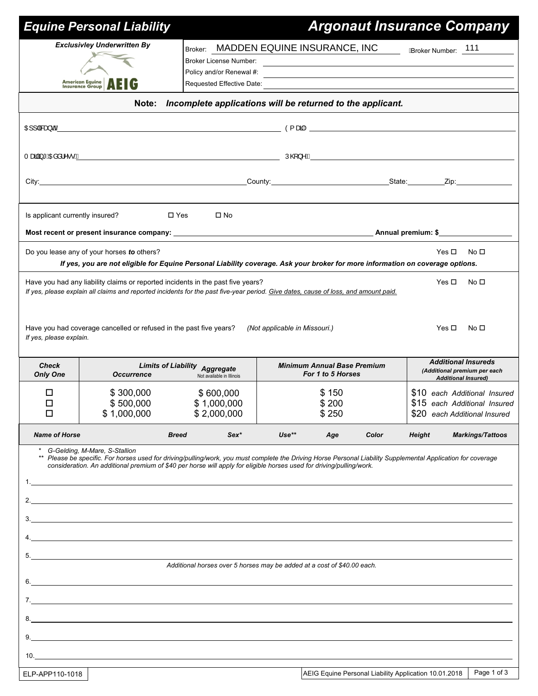|                                                                     | <b>Equine Personal Liability</b>                                                                                                                                                                                                                                                                                                                          |                                                                                                                              |                               |                                                                                                                        |                                                                                          |                     | <b>Argonaut Insurance Company</b>                                                            |  |  |  |
|---------------------------------------------------------------------|-----------------------------------------------------------------------------------------------------------------------------------------------------------------------------------------------------------------------------------------------------------------------------------------------------------------------------------------------------------|------------------------------------------------------------------------------------------------------------------------------|-------------------------------|------------------------------------------------------------------------------------------------------------------------|------------------------------------------------------------------------------------------|---------------------|----------------------------------------------------------------------------------------------|--|--|--|
|                                                                     | <b>Exclusivley Underwritten By</b><br><b>American Equine</b><br><b>Insurance Group</b><br><b>AEIG</b>                                                                                                                                                                                                                                                     | Broker: MADDEN EQUINE INSURANCE, INC<br>Broker License Number:<br>Policy and/or Renewal #:                                   |                               | <u> 1989 - Johann Stoff, deutscher Stoffen und der Stoffen und der Stoffen und der Stoffen und der Stoffen und der</u> |                                                                                          | ABroker Number: 111 |                                                                                              |  |  |  |
| Incomplete applications will be returned to the applicant.<br>Note: |                                                                                                                                                                                                                                                                                                                                                           |                                                                                                                              |                               |                                                                                                                        |                                                                                          |                     |                                                                                              |  |  |  |
| OE]] a‱aa}do <u>A</u>                                               | $\bullet$ and $\bullet$ and $\bullet$ and $\bullet$ and $\bullet$ and $\bullet$ and $\bullet$ and $\bullet$ and $\bullet$ and $\bullet$ and $\bullet$ and $\bullet$ and $\bullet$ and $\bullet$ and $\bullet$ and $\bullet$ and $\bullet$ and $\bullet$ and $\bullet$ and $\bullet$ and $\bullet$ and $\bullet$ and $\bullet$ and $\bullet$ and $\bullet$ |                                                                                                                              |                               |                                                                                                                        |                                                                                          |                     |                                                                                              |  |  |  |
|                                                                     |                                                                                                                                                                                                                                                                                                                                                           |                                                                                                                              |                               |                                                                                                                        |                                                                                          |                     |                                                                                              |  |  |  |
|                                                                     |                                                                                                                                                                                                                                                                                                                                                           |                                                                                                                              |                               |                                                                                                                        |                                                                                          |                     |                                                                                              |  |  |  |
|                                                                     |                                                                                                                                                                                                                                                                                                                                                           |                                                                                                                              |                               |                                                                                                                        |                                                                                          |                     |                                                                                              |  |  |  |
|                                                                     |                                                                                                                                                                                                                                                                                                                                                           |                                                                                                                              |                               |                                                                                                                        |                                                                                          |                     |                                                                                              |  |  |  |
| Is applicant currently insured?                                     |                                                                                                                                                                                                                                                                                                                                                           | $\square$ Yes<br>$\square$ No                                                                                                |                               |                                                                                                                        |                                                                                          |                     |                                                                                              |  |  |  |
|                                                                     |                                                                                                                                                                                                                                                                                                                                                           |                                                                                                                              |                               |                                                                                                                        |                                                                                          |                     |                                                                                              |  |  |  |
|                                                                     | Do you lease any of your horses to others?<br>If yes, you are not eligible for Equine Personal Liability coverage. Ask your broker for more information on coverage options.                                                                                                                                                                              |                                                                                                                              |                               |                                                                                                                        |                                                                                          | Yes $\Box$          | No <sub>1</sub>                                                                              |  |  |  |
|                                                                     | Have you had any liability claims or reported incidents in the past five years?<br>If yes, please explain all claims and reported incidents for the past five-year period. Give dates, cause of loss, and amount paid.                                                                                                                                    |                                                                                                                              |                               |                                                                                                                        |                                                                                          | Yes $\square$       | No <sub>1</sub>                                                                              |  |  |  |
| If yes, please explain.                                             | Have you had coverage cancelled or refused in the past five years?                                                                                                                                                                                                                                                                                        |                                                                                                                              | (Not applicable in Missouri.) |                                                                                                                        |                                                                                          | Yes □               | No □                                                                                         |  |  |  |
| <b>Check</b><br><b>Only One</b>                                     | <b>Occurrence</b>                                                                                                                                                                                                                                                                                                                                         | <b>Minimum Annual Base Premium</b><br><b>Limits of Liability Aggregate</b><br>For 1 to 5 Horses<br>Not available in Illinois |                               |                                                                                                                        | <b>Additional Insureds</b><br>(Additional premium per each<br><b>Additional Insured)</b> |                     |                                                                                              |  |  |  |
| □<br>□<br>□                                                         | \$300,000<br>\$500,000<br>\$1,000,000                                                                                                                                                                                                                                                                                                                     | \$600,000<br>\$1,000,000<br>\$2,000,000                                                                                      |                               | \$150<br>\$200<br>\$250                                                                                                |                                                                                          |                     | \$10 each Additional Insured<br>\$15 each Additional Insured<br>\$20 each Additional Insured |  |  |  |
| <b>Name of Horse</b>                                                |                                                                                                                                                                                                                                                                                                                                                           | Sex*<br><b>Breed</b>                                                                                                         | $Use**$                       | Age                                                                                                                    | Color                                                                                    | <b>Height</b>       | <b>Markings/Tattoos</b>                                                                      |  |  |  |
| **                                                                  | G-Gelding, M-Mare, S-Stallion<br>Please be specific. For horses used for driving/pulling/work, you must complete the Driving Horse Personal Liability Supplemental Application for coverage<br>consideration. An additional premium of \$40 per horse will apply for eligible horses used for driving/pulling/work.                                       |                                                                                                                              |                               |                                                                                                                        |                                                                                          |                     |                                                                                              |  |  |  |
|                                                                     |                                                                                                                                                                                                                                                                                                                                                           |                                                                                                                              |                               |                                                                                                                        |                                                                                          |                     |                                                                                              |  |  |  |
|                                                                     |                                                                                                                                                                                                                                                                                                                                                           | Additional horses over 5 horses may be added at a cost of \$40.00 each.                                                      |                               |                                                                                                                        |                                                                                          |                     |                                                                                              |  |  |  |
|                                                                     | 7.                                                                                                                                                                                                                                                                                                                                                        |                                                                                                                              |                               |                                                                                                                        |                                                                                          |                     |                                                                                              |  |  |  |
|                                                                     |                                                                                                                                                                                                                                                                                                                                                           |                                                                                                                              |                               |                                                                                                                        |                                                                                          |                     |                                                                                              |  |  |  |
|                                                                     |                                                                                                                                                                                                                                                                                                                                                           |                                                                                                                              |                               |                                                                                                                        |                                                                                          |                     |                                                                                              |  |  |  |
| 10.                                                                 | <u> 1989 - Johann Stein, marwolaethau a bhann ann an t-</u>                                                                                                                                                                                                                                                                                               |                                                                                                                              |                               |                                                                                                                        |                                                                                          |                     |                                                                                              |  |  |  |
| ELP-APP110-1018                                                     |                                                                                                                                                                                                                                                                                                                                                           |                                                                                                                              |                               | AEIG Equine Personal Liability Application 10.01.2018                                                                  |                                                                                          |                     | Page 1 of 3                                                                                  |  |  |  |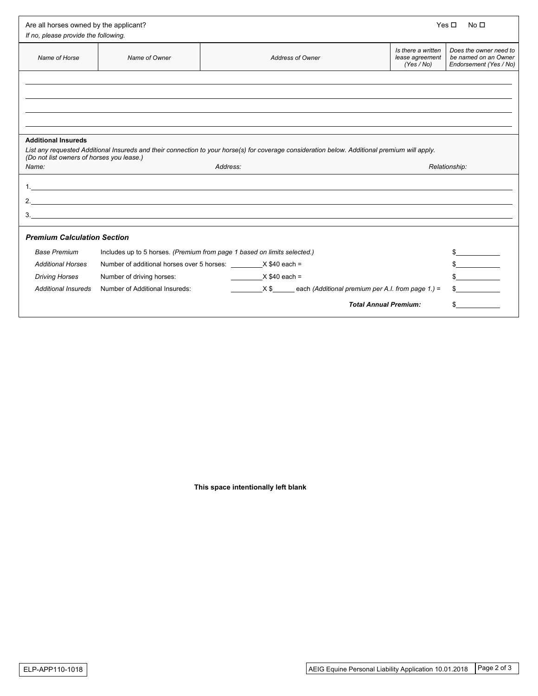| Are all horses owned by the applicant?<br>Yes $\Box$<br>If no, please provide the following.                                                                                               |                                                                                                                  |                              |                                                   |                                                                          |  |  |  |  |  |
|--------------------------------------------------------------------------------------------------------------------------------------------------------------------------------------------|------------------------------------------------------------------------------------------------------------------|------------------------------|---------------------------------------------------|--------------------------------------------------------------------------|--|--|--|--|--|
| Name of Horse                                                                                                                                                                              | Name of Owner                                                                                                    | <b>Address of Owner</b>      | Is there a written<br>lease agreement<br>(Yes/No) | Does the owner need to<br>be named on an Owner<br>Endorsement (Yes / No) |  |  |  |  |  |
|                                                                                                                                                                                            |                                                                                                                  |                              |                                                   |                                                                          |  |  |  |  |  |
|                                                                                                                                                                                            |                                                                                                                  |                              |                                                   |                                                                          |  |  |  |  |  |
|                                                                                                                                                                                            |                                                                                                                  |                              |                                                   |                                                                          |  |  |  |  |  |
|                                                                                                                                                                                            |                                                                                                                  |                              |                                                   |                                                                          |  |  |  |  |  |
| <b>Additional Insureds</b>                                                                                                                                                                 |                                                                                                                  |                              |                                                   |                                                                          |  |  |  |  |  |
| List any requested Additional Insureds and their connection to your horse(s) for coverage consideration below. Additional premium will apply.<br>(Do not list owners of horses you lease.) |                                                                                                                  |                              |                                                   |                                                                          |  |  |  |  |  |
| Name:                                                                                                                                                                                      | Address:                                                                                                         |                              |                                                   | Relationship:                                                            |  |  |  |  |  |
|                                                                                                                                                                                            |                                                                                                                  |                              |                                                   |                                                                          |  |  |  |  |  |
|                                                                                                                                                                                            | and the control of the control of the control of the control of the control of the control of the control of the |                              |                                                   |                                                                          |  |  |  |  |  |
|                                                                                                                                                                                            |                                                                                                                  |                              |                                                   |                                                                          |  |  |  |  |  |
|                                                                                                                                                                                            |                                                                                                                  |                              |                                                   |                                                                          |  |  |  |  |  |
| <b>Premium Calculation Section</b>                                                                                                                                                         |                                                                                                                  |                              |                                                   |                                                                          |  |  |  |  |  |
| <b>Base Premium</b>                                                                                                                                                                        | Includes up to 5 horses. (Premium from page 1 based on limits selected.)                                         |                              |                                                   |                                                                          |  |  |  |  |  |
| <b>Additional Horses</b>                                                                                                                                                                   | Number of additional horses over 5 horses: X \$40 each =                                                         |                              |                                                   | $\frac{1}{2}$                                                            |  |  |  |  |  |
| <b>Driving Horses</b>                                                                                                                                                                      | Number of driving horses:                                                                                        | $X $40 each =$               |                                                   |                                                                          |  |  |  |  |  |
| <b>Additional Insureds</b>                                                                                                                                                                 | $\sim$<br>Number of Additional Insureds:<br>$X$ \$ each (Additional premium per A.I. from page 1.) =             |                              |                                                   |                                                                          |  |  |  |  |  |
|                                                                                                                                                                                            |                                                                                                                  | <b>Total Annual Premium:</b> |                                                   |                                                                          |  |  |  |  |  |

**This space intentionally left blank**